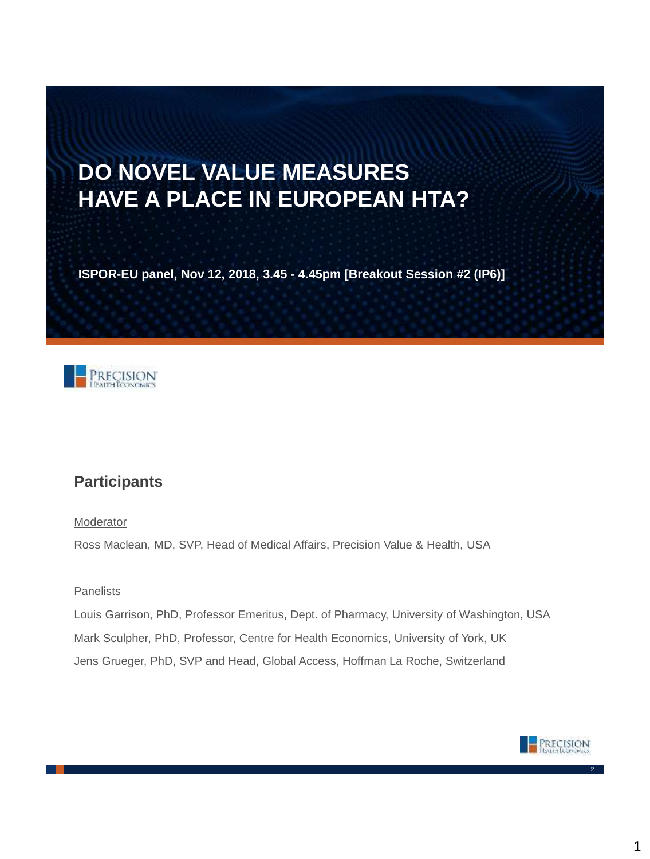# **DO NOVEL VALUE MEASURES HAVE A PLACE IN EUROPEAN HTA?**

**ISPOR-EU panel, Nov 12, 2018, 3.45 - 4.45pm [Breakout Session #2 (IP6)]**



## **Participants**

Moderator

Ross Maclean, MD, SVP, Head of Medical Affairs, Precision Value & Health, USA

### Panelists

Louis Garrison, PhD, Professor Emeritus, Dept. of Pharmacy, University of Washington, USA Mark Sculpher, PhD, Professor, Centre for Health Economics, University of York, UK Jens Grueger, PhD, SVP and Head, Global Access, Hoffman La Roche, Switzerland

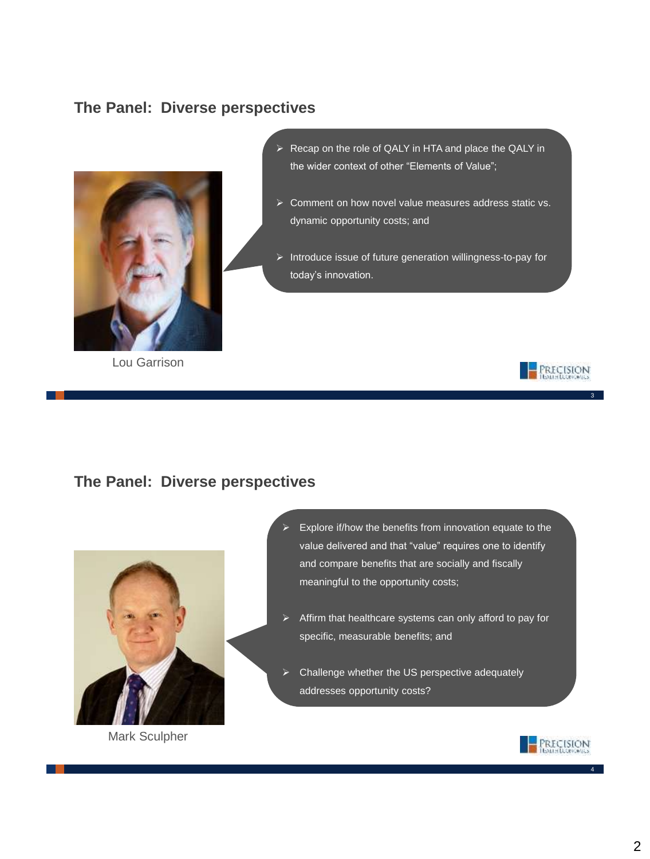## **The Panel: Diverse perspectives**



Lou Garrison

- ▶ Recap on the role of QALY in HTA and place the QALY in the wider context of other "Elements of Value";
- Comment on how novel value measures address static vs. dynamic opportunity costs; and
- $\triangleright$  Introduce issue of future generation willingness-to-pay for today's innovation.



3

### **The Panel: Diverse perspectives**



Mark Sculpher

- Explore if/how the benefits from innovation equate to the value delivered and that "value" requires one to identify and compare benefits that are socially and fiscally meaningful to the opportunity costs;
- $\triangleright$  Affirm that healthcare systems can only afford to pay for specific, measurable benefits; and
- Challenge whether the US perspective adequately addresses opportunity costs?

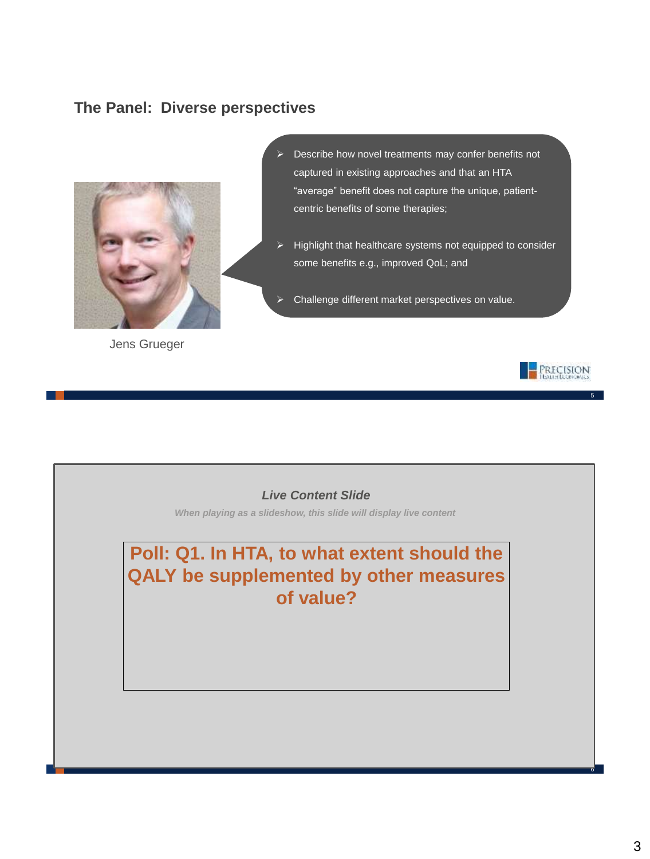### **The Panel: Diverse perspectives**



Jens Grueger

 Describe how novel treatments may confer benefits not captured in existing approaches and that an HTA "average" benefit does not capture the unique, patientcentric benefits of some therapies;

 Highlight that healthcare systems not equipped to consider some benefits e.g., improved QoL; and

Challenge different market perspectives on value.



5

### *Live Content Slide*

*When playing as a slideshow, this slide will display live content*

**Poll: Q1. In HTA, to what extent should the QALY be supplemented by other measures of value?**

 $\overline{c}$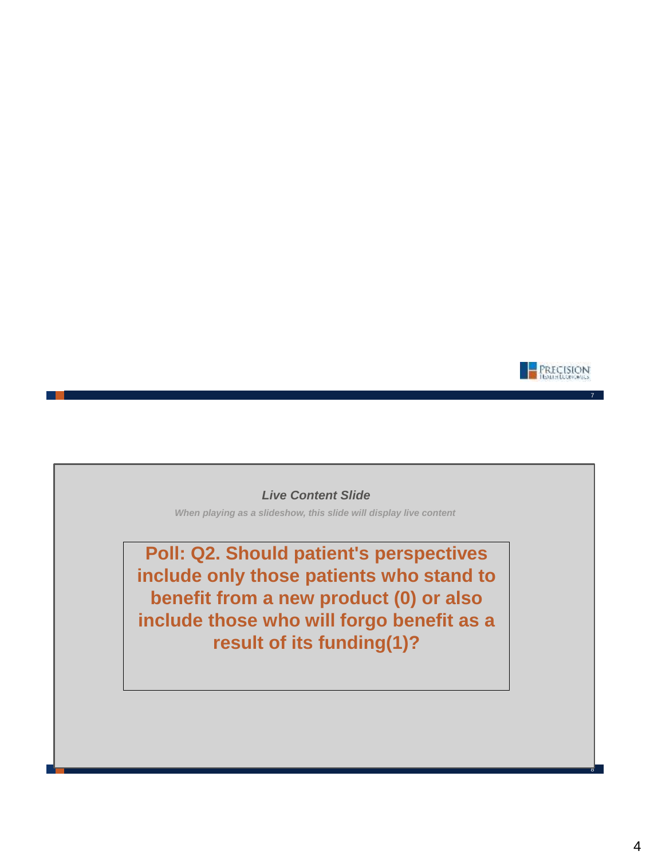

#### *Live Content Slide*

*When playing as a slideshow, this slide will display live content*

**Poll: Q2. Should patient's perspectives include only those patients who stand to benefit from a new product (0) or also include those who will forgo benefit as a result of its funding(1)?**

 $\overline{c}$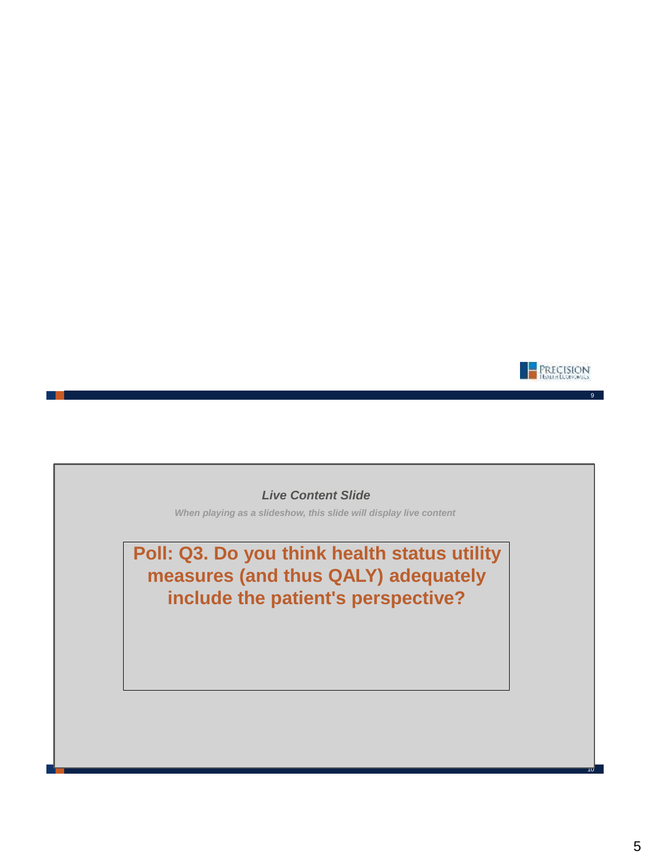

### *Live Content Slide*

*When playing as a slideshow, this slide will display live content*

**Poll: Q3. Do you think health status utility measures (and thus QALY) adequately include the patient's perspective?**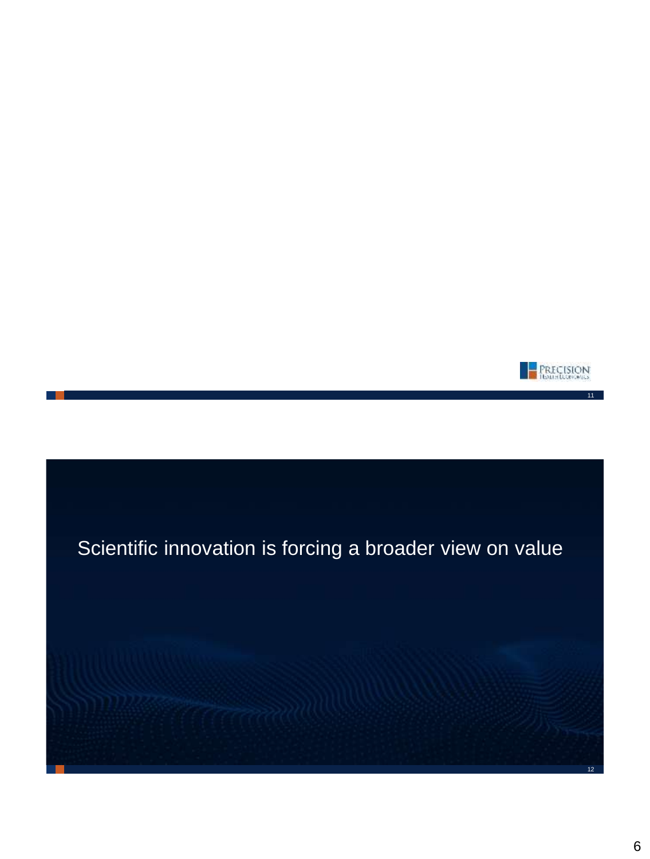

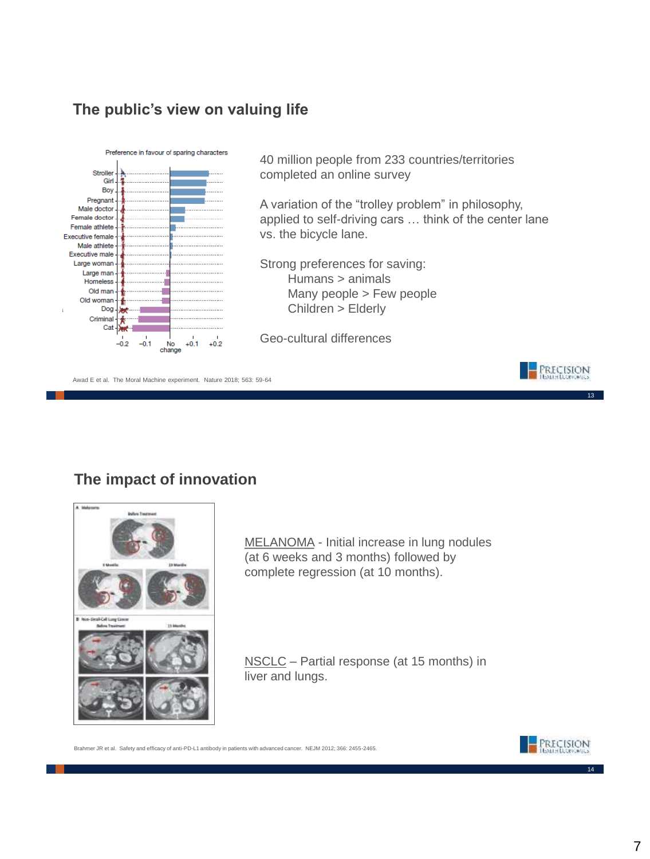### **The public's view on valuing life**



40 million people from 233 countries/territories completed an online survey

A variation of the "trolley problem" in philosophy, applied to self-driving cars … think of the center lane vs. the bicycle lane.

Strong preferences for saving: Humans > animals Many people > Few people Children > Elderly

Geo-cultural differences

Awad E et al. The Moral Machine experiment. Nature 2018; 563: 59-64

## **The impact of innovation**



MELANOMA - Initial increase in lung nodules (at 6 weeks and 3 months) followed by complete regression (at 10 months).

NSCLC – Partial response (at 15 months) in liver and lungs.

Brahmer JR et al. Safety and efficacy of anti-PD-L1 antibody in patients with advanced cancer. NEJM 2012; 366: 2455-2465.



14

13

**PRECISION**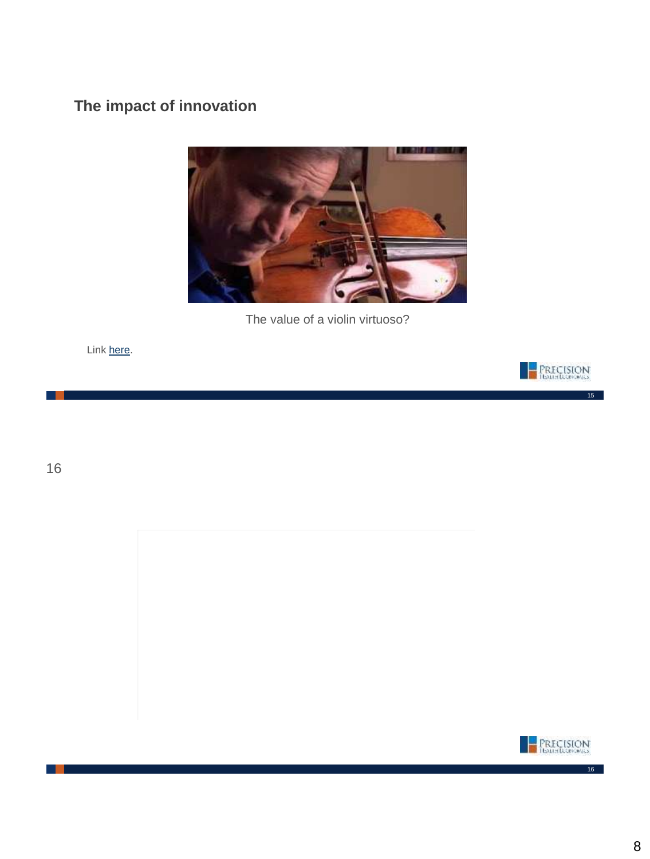## **The impact of innovation**



The value of a violin virtuoso?

Link [here.](https://www.youtube.com/watch?v=QTxuOm_d0dw&list=PLKwNTL-MqXbP1OXohCfh6LRrqfVZGK3C3&index=2&t=0s)



15

16

. .

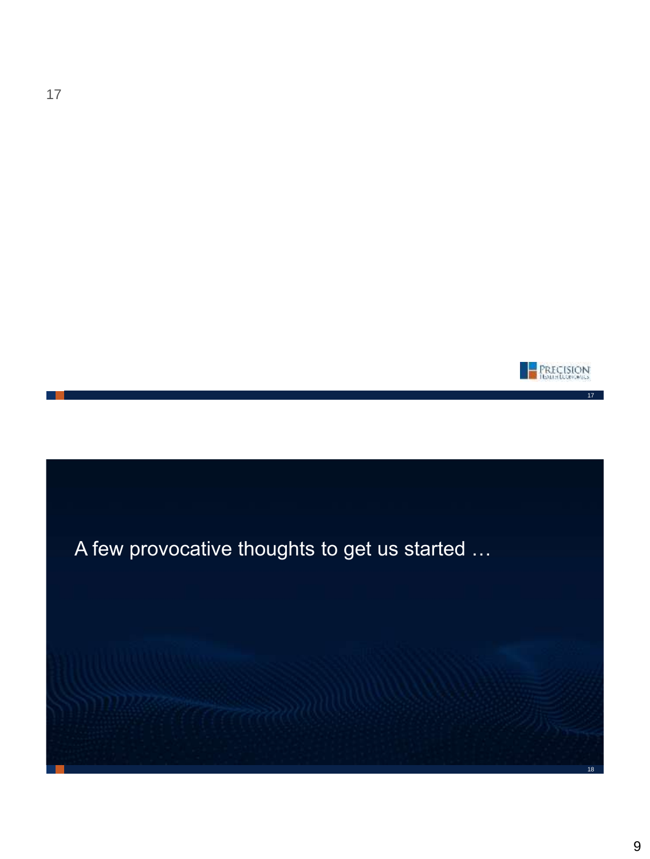

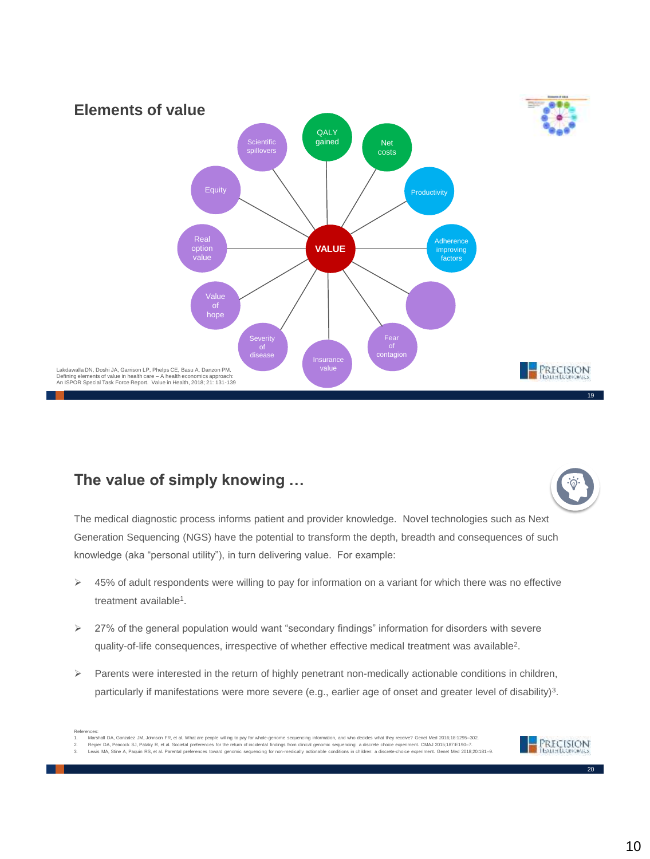

### **The value of simply knowing …**



The medical diagnostic process informs patient and provider knowledge. Novel technologies such as Next Generation Sequencing (NGS) have the potential to transform the depth, breadth and consequences of such knowledge (aka "personal utility"), in turn delivering value. For example:

- $\triangleright$  45% of adult respondents were willing to pay for information on a variant for which there was no effective treatment available<sup>1</sup>.
- 27% of the general population would want "secondary findings" information for disorders with severe quality-of-life consequences, irrespective of whether effective medical treatment was available<sup>2</sup>.
- $\triangleright$  Parents were interested in the return of highly penetrant non-medically actionable conditions in children, particularly if manifestations were more severe (e.g., earlier age of onset and greater level of disability)<sup>3</sup>.

3. Lewis MA, Stine A, Paquin RS, et al. Parental preferences toward genomic sequencing for non-medically actionable conditions in children: a discrete-choice experiment. Genet Med 2018;20:181–9.

References:<br>1. Marshall DA, Gonzalez JM, Johnson FR, et al. What are people willing to pay for whole-genome sequencing information, and who decides what they receive? Genet Med 2016;18:1295–302<br>2. Regier DA, Peacock SJ, Pa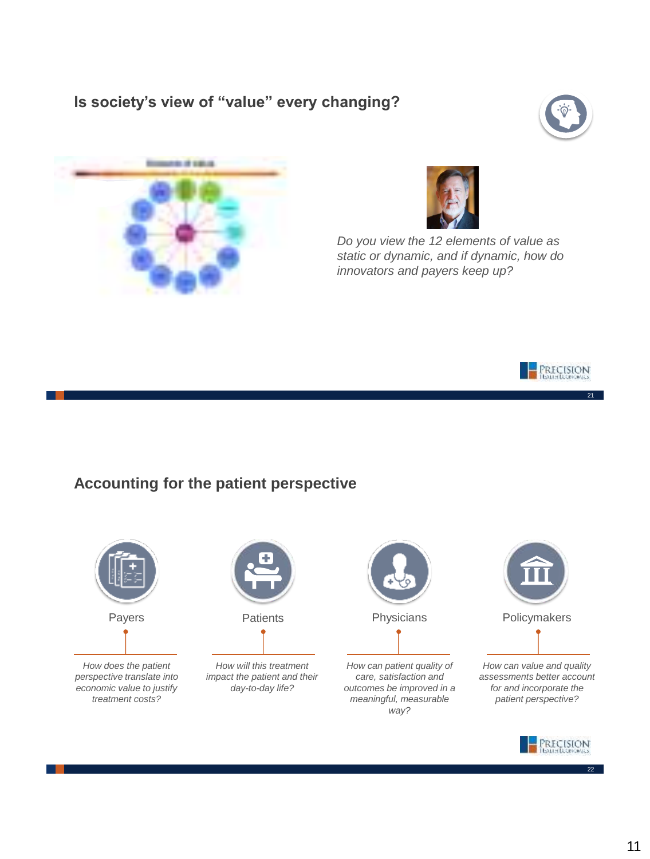## **Is society's view of "value" every changing?**







*Do you view the 12 elements of value as static or dynamic, and if dynamic, how do innovators and payers keep up?*



21

### **Accounting for the patient perspective**



*How does the patient perspective translate into economic value to justify treatment costs?*



*How will this treatment impact the patient and their day-to-day life?* 



*How can patient quality of care, satisfaction and outcomes be improved in a meaningful, measurable way?*



*How can value and quality assessments better account for and incorporate the patient perspective?* 

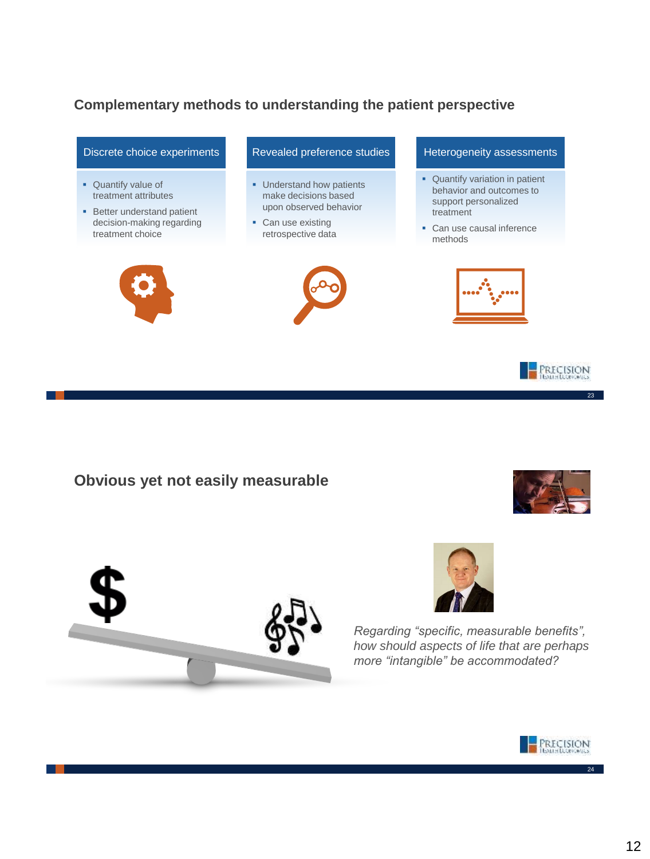### **Complementary methods to understanding the patient perspective**



### **Obvious yet not easily measurable**





*Regarding "specific, measurable benefits", how should aspects of life that are perhaps more "intangible" be accommodated?*

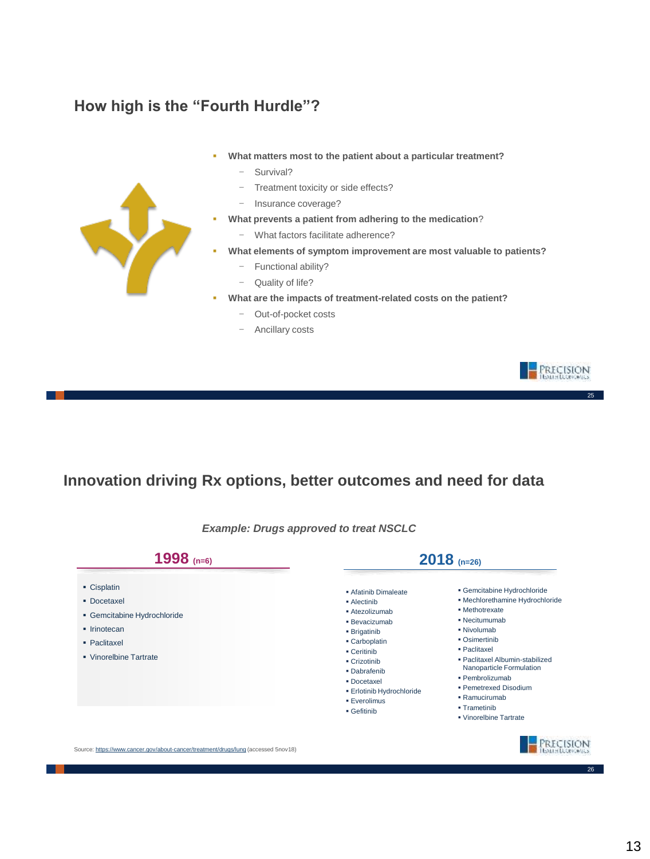### **How high is the "Fourth Hurdle"?**

- **What matters most to the patient about a particular treatment?**
	- − Survival?
	- − Treatment toxicity or side effects?
	- − Insurance coverage?
- **What prevents a patient from adhering to the medication**?
	- − What factors facilitate adherence?
- **What elements of symptom improvement are most valuable to patients?**
	- − Functional ability?
	- − Quality of life?
- **What are the impacts of treatment-related costs on the patient?**
	- − Out-of-pocket costs
	- − Ancillary costs

### **Innovation driving Rx options, better outcomes and need for data**

| 1998 $(n=6)$                                                                                                                     | $2018$ (n=26)                                                                                                                                                                                                                   |                                                                                                                                                                                                                                                                                                                         |
|----------------------------------------------------------------------------------------------------------------------------------|---------------------------------------------------------------------------------------------------------------------------------------------------------------------------------------------------------------------------------|-------------------------------------------------------------------------------------------------------------------------------------------------------------------------------------------------------------------------------------------------------------------------------------------------------------------------|
| • Cisplatin<br>• Docetaxel<br>• Gemcitabine Hydrochloride<br>$\blacksquare$ Irinotecan<br>· Paclitaxel<br>• Vinorelbine Tartrate | Afatinib Dimaleate<br>• Alectinib<br>• Atezolizumab<br>· Bevacizumab<br>• Brigatinib<br>• Carboplatin<br>• Ceritinib<br>• Crizotinib<br>· Dabrafenib<br>· Docetaxel<br>· Erlotinib Hydrochloride<br>· Everolimus<br>• Gefitinib | • Gemcitabine Hydrochloride<br>· Mechlorethamine Hydrochloride<br>· Methotrexate<br>• Necitumumab<br>• Nivolumab<br>• Osimertinib<br>· Paclitaxel<br>· Paclitaxel Albumin-stabilized<br>Nanoparticle Formulation<br>· Pembrolizumab<br>· Pemetrexed Disodium<br>• Ramucirumab<br>• Trametinib<br>. Vinorelbine Tartrate |
| Source: https://www.cancer.gov/about-cancer/treatment/drugs/lung (accessed 5nov18)                                               |                                                                                                                                                                                                                                 |                                                                                                                                                                                                                                                                                                                         |
|                                                                                                                                  |                                                                                                                                                                                                                                 |                                                                                                                                                                                                                                                                                                                         |

*Example: Drugs approved to treat NSCLC*



**The Contract of the Contract of the Contract of the Contract of the Contract of The Contract of The Contract o** 

 $26$ 

25

PRECISION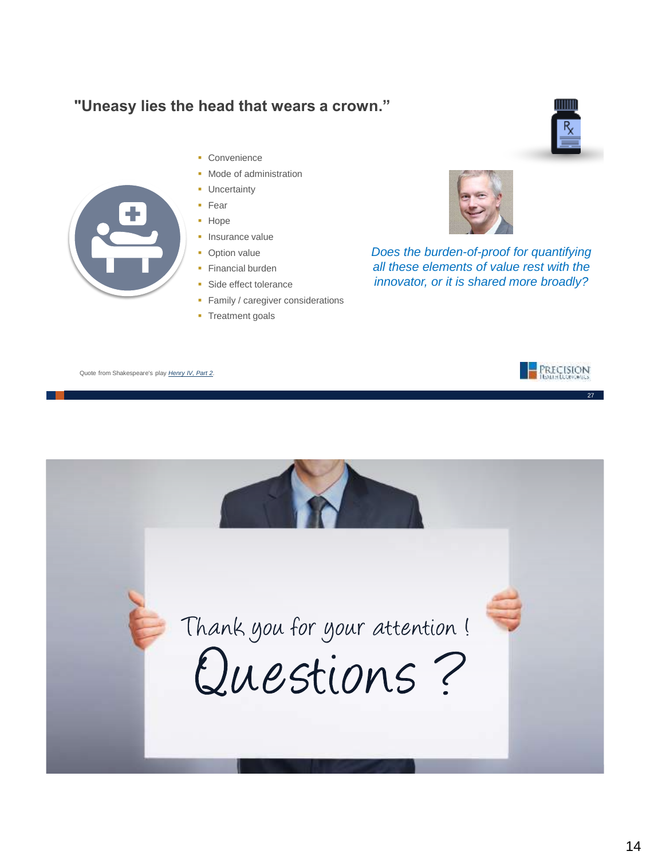### **"Uneasy lies the head that wears a crown."**

- 
- Convenience
- **Node of administration** 
	- **Uncertainty**
	- Fear
	- Hope
	- **Insurance value**
	- Option value
	- **Financial burden**
	- **Side effect tolerance**
	- **Family / caregiver considerations**
	- Treatment goals



*Does the burden-of-proof for quantifying all these elements of value rest with the innovator, or it is shared more broadly?*





 $\frac{R}{2}$